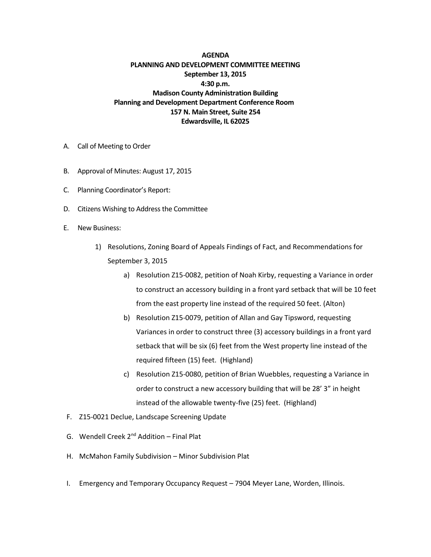**AGENDA PLANNING AND DEVELOPMENT COMMITTEE MEETING September 13, 2015 4:30 p.m. Madison County Administration Building Planning and Development Department Conference Room 157 N. Main Street, Suite 254 Edwardsville, IL 62025**

- A. Call of Meeting to Order
- B. Approval of Minutes: August 17, 2015
- C. Planning Coordinator's Report:
- D. Citizens Wishing to Address the Committee
- E. New Business:
	- 1) Resolutions, Zoning Board of Appeals Findings of Fact, and Recommendations for September 3, 2015
		- a) Resolution Z15-0082, petition of Noah Kirby, requesting a Variance in order to construct an accessory building in a front yard setback that will be 10 feet from the east property line instead of the required 50 feet. (Alton)
		- b) Resolution Z15-0079, petition of Allan and Gay Tipsword, requesting Variances in order to construct three (3) accessory buildings in a front yard setback that will be six (6) feet from the West property line instead of the required fifteen (15) feet. (Highland)
		- c) Resolution Z15-0080, petition of Brian Wuebbles, requesting a Variance in order to construct a new accessory building that will be 28' 3" in height instead of the allowable twenty-five (25) feet. (Highland)
- F. Z15-0021 Declue, Landscape Screening Update
- G. Wendell Creek  $2^{nd}$  Addition Final Plat
- H. McMahon Family Subdivision Minor Subdivision Plat
- I. Emergency and Temporary Occupancy Request 7904 Meyer Lane, Worden, Illinois.